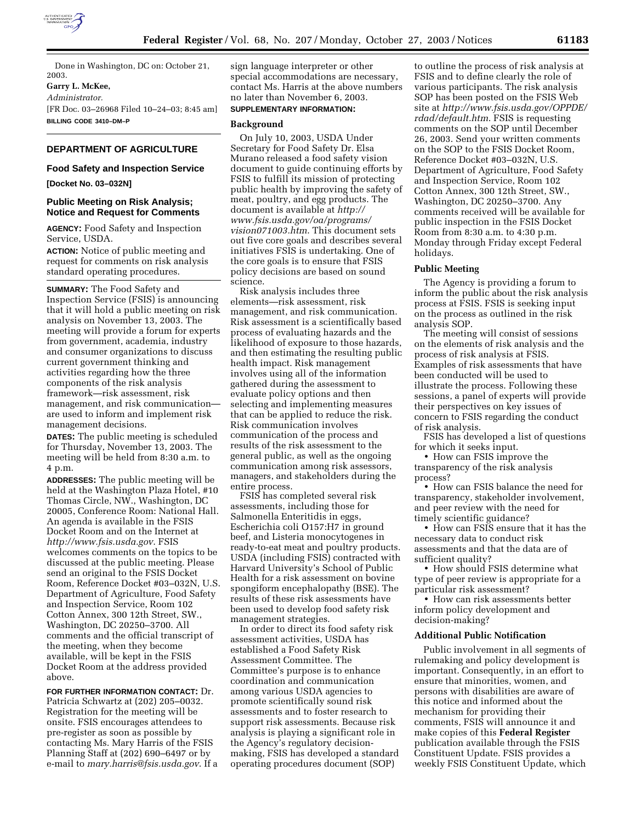

Done in Washington, DC on: October 21, 2003.

# **Garry L. McKee,**

*Administrator.*

[FR Doc. 03–26968 Filed 10–24–03; 8:45 am] **BILLING CODE 3410–DM–P**

#### **DEPARTMENT OF AGRICULTURE**

#### **Food Safety and Inspection Service**

#### **[Docket No. 03–032N]**

#### **Public Meeting on Risk Analysis; Notice and Request for Comments**

**AGENCY:** Food Safety and Inspection Service, USDA.

**ACTION:** Notice of public meeting and request for comments on risk analysis standard operating procedures.

**SUMMARY:** The Food Safety and Inspection Service (FSIS) is announcing that it will hold a public meeting on risk analysis on November 13, 2003. The meeting will provide a forum for experts from government, academia, industry and consumer organizations to discuss current government thinking and activities regarding how the three components of the risk analysis framework—risk assessment, risk management, and risk communication are used to inform and implement risk management decisions.

**DATES:** The public meeting is scheduled for Thursday, November 13, 2003. The meeting will be held from 8:30 a.m. to 4 p.m.

**ADDRESSES:** The public meeting will be held at the Washington Plaza Hotel, #10 Thomas Circle, NW., Washington, DC 20005, Conference Room: National Hall. An agenda is available in the FSIS Docket Room and on the Internet at *http://www.fsis.usda.gov*. FSIS welcomes comments on the topics to be discussed at the public meeting. Please send an original to the FSIS Docket Room, Reference Docket #03–032N, U.S. Department of Agriculture, Food Safety and Inspection Service, Room 102 Cotton Annex, 300 12th Street, SW., Washington, DC 20250–3700. All comments and the official transcript of the meeting, when they become available, will be kept in the FSIS Docket Room at the address provided above.

**FOR FURTHER INFORMATION CONTACT:** Dr. Patricia Schwartz at (202) 205–0032. Registration for the meeting will be onsite. FSIS encourages attendees to pre-register as soon as possible by contacting Ms. Mary Harris of the FSIS Planning Staff at (202) 690–6497 or by e-mail to *mary.harris@fsis.usda.gov*. If a sign language interpreter or other special accommodations are necessary, contact Ms. Harris at the above numbers no later than November 6, 2003.

# **SUPPLEMENTARY INFORMATION:**

#### **Background**

On July 10, 2003, USDA Under Secretary for Food Safety Dr. Elsa Murano released a food safety vision document to guide continuing efforts by FSIS to fulfill its mission of protecting public health by improving the safety of meat, poultry, and egg products. The document is available at *http:// www.fsis.usda.gov/oa/programs/ vision071003.htm*. This document sets out five core goals and describes several initiatives FSIS is undertaking. One of the core goals is to ensure that FSIS policy decisions are based on sound science.

Risk analysis includes three elements—risk assessment, risk management, and risk communication. Risk assessment is a scientifically based process of evaluating hazards and the likelihood of exposure to those hazards, and then estimating the resulting public health impact. Risk management involves using all of the information gathered during the assessment to evaluate policy options and then selecting and implementing measures that can be applied to reduce the risk. Risk communication involves communication of the process and results of the risk assessment to the general public, as well as the ongoing communication among risk assessors, managers, and stakeholders during the entire process.

FSIS has completed several risk assessments, including those for Salmonella Enteritidis in eggs, Escherichia coli O157:H7 in ground beef, and Listeria monocytogenes in ready-to-eat meat and poultry products. USDA (including FSIS) contracted with Harvard University's School of Public Health for a risk assessment on bovine spongiform encephalopathy (BSE). The results of these risk assessments have been used to develop food safety risk management strategies.

In order to direct its food safety risk assessment activities, USDA has established a Food Safety Risk Assessment Committee. The Committee's purpose is to enhance coordination and communication among various USDA agencies to promote scientifically sound risk assessments and to foster research to support risk assessments. Because risk analysis is playing a significant role in the Agency's regulatory decisionmaking, FSIS has developed a standard operating procedures document (SOP)

to outline the process of risk analysis at FSIS and to define clearly the role of various participants. The risk analysis SOP has been posted on the FSIS Web site at *http://www.fsis.usda.gov/OPPDE/ rdad/default.htm*. FSIS is requesting comments on the SOP until December 26, 2003. Send your written comments on the SOP to the FSIS Docket Room, Reference Docket #03–032N, U.S. Department of Agriculture, Food Safety and Inspection Service, Room 102 Cotton Annex, 300 12th Street, SW., Washington, DC 20250–3700. Any comments received will be available for public inspection in the FSIS Docket Room from 8:30 a.m. to 4:30 p.m. Monday through Friday except Federal holidays.

#### **Public Meeting**

The Agency is providing a forum to inform the public about the risk analysis process at FSIS. FSIS is seeking input on the process as outlined in the risk analysis SOP.

The meeting will consist of sessions on the elements of risk analysis and the process of risk analysis at FSIS. Examples of risk assessments that have been conducted will be used to illustrate the process. Following these sessions, a panel of experts will provide their perspectives on key issues of concern to FSIS regarding the conduct of risk analysis.

FSIS has developed a list of questions for which it seeks input.

• How can FSIS improve the transparency of the risk analysis process?

• How can FSIS balance the need for transparency, stakeholder involvement, and peer review with the need for timely scientific guidance?

• How can FSIS ensure that it has the necessary data to conduct risk assessments and that the data are of sufficient quality?

• How should FSIS determine what type of peer review is appropriate for a particular risk assessment?

• How can risk assessments better inform policy development and decision-making?

#### **Additional Public Notification**

Public involvement in all segments of rulemaking and policy development is important. Consequently, in an effort to ensure that minorities, women, and persons with disabilities are aware of this notice and informed about the mechanism for providing their comments, FSIS will announce it and make copies of this **Federal Register** publication available through the FSIS Constituent Update. FSIS provides a weekly FSIS Constituent Update, which